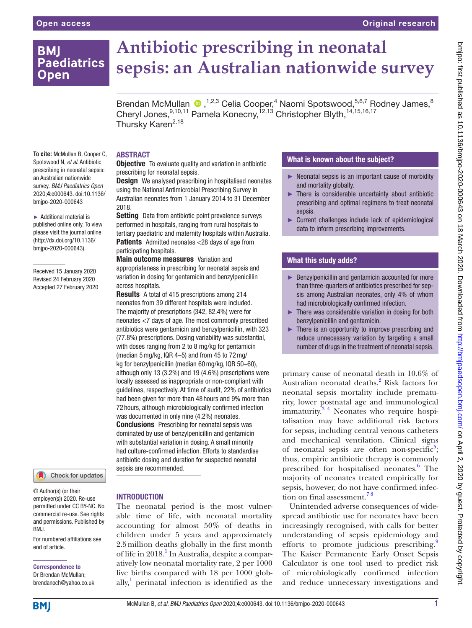# **BMI Paediatrics Open**

# **Antibiotic prescribing in neonatal sepsis: an Australian nationwide survey**

Brendan McMullan (D, <sup>1,2,3</sup> Celia Cooper,<sup>4</sup> Naomi Spotswood, <sup>5,6,7</sup> Rodney James, <sup>8</sup> Cheryl Jones,<sup>9,10,11</sup> Pamela Konecny,<sup>12,13</sup> Christopher Blyth,<sup>14,15,16,17</sup> Thursky Karen<sup>2,18</sup>

# **ABSTRACT**

2018.

prescribing for neonatal sepsis.

participating hospitals.

across hospitals.

**Objective** To evaluate quality and variation in antibiotic

**Design** We analysed prescribing in hospitalised neonates using the National Antimicrobial Prescribing Survey in Australian neonates from 1 January 2014 to 31 December

Setting Data from antibiotic point prevalence surveys performed in hospitals, ranging from rural hospitals to tertiary paediatric and maternity hospitals within Australia. **Patients** Admitted neonates <28 days of age from

appropriateness in prescribing for neonatal sepsis and variation in dosing for gentamicin and benzylpenicillin

Results A total of 415 prescriptions among 214 neonates from 39 different hospitals were included. The majority of prescriptions (342, 82.4%) were for neonates <7 days of age. The most commonly prescribed antibiotics were gentamicin and benzylpenicillin, with 323 (77.8%) prescriptions. Dosing variability was substantial, with doses ranging from 2 to 8 mg/kg for gentamicin (median 5mg/kg, IQR 4–5) and from 45 to 72mg/ kg for benzylpenicillin (median 60mg/kg, IQR 50–60), although only 13 (3.2%) and 19 (4.6%) prescriptions were locally assessed as inappropriate or non-compliant with guidelines, respectively. At time of audit, 22% of antibiotics had been given for more than 48 hours and 9% more than 72 hours, although microbiologically confirmed infection was documented in only nine (4.2%) neonates. **Conclusions** Prescribing for neonatal sepsis was dominated by use of benzylpenicillin and gentamicin with substantial variation in dosing. A small minority had culture-confirmed infection. Efforts to standardise antibiotic dosing and duration for suspected neonatal

Main outcome measures Variation and

**To cite:** McMullan B, Cooper C, Spotswood N, *et al*. Antibiotic prescribing in neonatal sepsis: an Australian nationwide survey. *BMJ Paediatrics Open* 2020;4:e000643. doi:10.1136/ bmjpo-2020-000643

► Additional material is published online only. To view please visit the journal online (http://dx.doi.org/10.1136/ bmjpo-2020-000643).

Received 15 January 2020 Revised 24 February 2020 Accepted 27 February 2020

Check for updates

© Author(s) (or their employer(s)) 2020. Re-use permitted under CC BY-NC. No commercial re-use. See rights and permissions. Published by BMJ.

For numbered affiliations see end of article.

Correspondence to Dr Brendan McMullan; brendanoch@yahoo.co.uk

# **INTRODUCTION**

sepsis are recommended.

The neonatal period is the most vulnerable time of life, with neonatal mortality accounting for almost 50% of deaths in children under 5 years and approximately 2.5million deaths globally in the first month of life in 2018.<sup>1</sup> In Australia, despite a comparatively low neonatal mortality rate, 2 per 1000 live births compared with 18 per 1000 glob-ally,<sup>[1](#page-6-0)</sup> perinatal infection is identified as the

# What is known about the subject?

- ► Neonatal sepsis is an important cause of morbidity and mortality globally.
- ► There is considerable uncertainty about antibiotic prescribing and optimal regimens to treat neonatal sepsis.
- ► Current challenges include lack of epidemiological data to inform prescribing improvements.

# What this study adds?

- ► Benzylpenicillin and gentamicin accounted for more than three-quarters of antibiotics prescribed for sepsis among Australian neonates, only 4% of whom had microbiologically confirmed infection.
- ► There was considerable variation in dosing for both benzylpenicillin and gentamicin.
- ► There is an opportunity to improve prescribing and reduce unnecessary variation by targeting a small number of drugs in the treatment of neonatal sepsis.

primary cause of neonatal death in 10.6% of Australian neonatal deaths.<sup>[2](#page-6-1)</sup> Risk factors for neonatal sepsis mortality include prematurity, lower postnatal age and immunological immaturity.<sup>34</sup> Neonates who require hospitalisation may have additional risk factors for sepsis, including central venous catheters and mechanical ventilation. Clinical signs of neonatal sepsis are often non-specific<sup>5</sup>; thus, empiric antibiotic therapy is commonly prescribed for hospitalised neonates.<sup>[6](#page-6-4)</sup> The majority of neonates treated empirically for sepsis, however, do not have confirmed infection on final assessment.<sup>78</sup>

Unintended adverse consequences of widespread antibiotic use for neonates have been increasingly recognised, with calls for better understanding of sepsis epidemiology and efforts to promote judicious prescribing. $9$ The Kaiser Permanente Early Onset Sepsis Calculator is one tool used to predict risk of microbiologically confirmed infection and reduce unnecessary investigations and

**BMJ**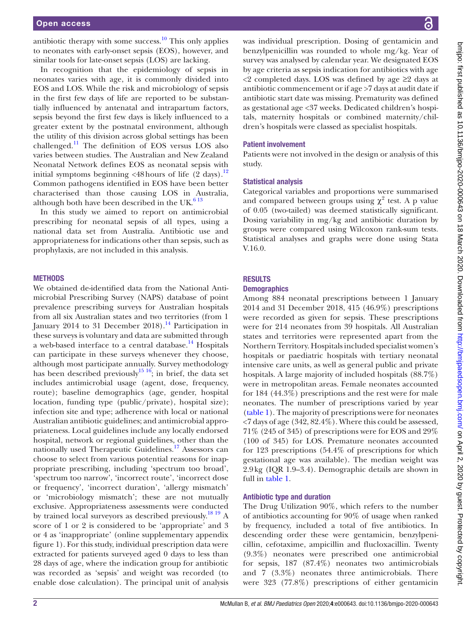antibiotic therapy with some success. $10$  This only applies to neonates with early-onset sepsis (EOS), however, and similar tools for late-onset sepsis (LOS) are lacking.

In recognition that the epidemiology of sepsis in neonates varies with age, it is commonly divided into EOS and LOS. While the risk and microbiology of sepsis in the first few days of life are reported to be substantially influenced by antenatal and intrapartum factors, sepsis beyond the first few days is likely influenced to a greater extent by the postnatal environment, although the utility of this division across global settings has been challenged. $^{11}$  $^{11}$  $^{11}$  The definition of EOS versus LOS also varies between studies. The Australian and New Zealand Neonatal Network defines EOS as neonatal sepsis with initial symptoms beginning  $\langle 48 \text{ hours of life } (2 \text{ days})$ .<sup>[12](#page-6-9)</sup> Common pathogens identified in EOS have been better characterised than those causing LOS in Australia, although both have been described in the UK. $613$ 

In this study we aimed to report on antimicrobial prescribing for neonatal sepsis of all types, using a national data set from Australia. Antibiotic use and appropriateness for indications other than sepsis, such as prophylaxis, are not included in this analysis.

#### **METHODS**

We obtained de-identified data from the National Antimicrobial Prescribing Survey (NAPS) database of point prevalence prescribing surveys for Australian hospitals from all six Australian states and two territories (from 1 January 20[14](#page-6-10) to 31 December 2018).<sup>14</sup> Participation in these surveys is voluntary and data are submitted through a web-based interface to a central database.<sup>14</sup> Hospitals can participate in these surveys whenever they choose, although most participate annually. Survey methodology has been described previously<sup>[15 16](#page-6-11)</sup>; in brief, the data set includes antimicrobial usage (agent, dose, frequency, route); baseline demographics (age, gender, hospital location, funding type (public/private), hospital size); infection site and type; adherence with local or national Australian antibiotic guidelines; and antimicrobial appropriateness. Local guidelines include any locally endorsed hospital, network or regional guidelines, other than the nationally used Therapeutic Guidelines.<sup>17</sup> Assessors can choose to select from various potential reasons for inappropriate prescribing, including 'spectrum too broad', 'spectrum too narrow', 'incorrect route', 'incorrect dose or frequency', 'incorrect duration', 'allergy mismatch' or 'microbiology mismatch'; these are not mutually exclusive. Appropriateness assessments were conducted by trained local surveyors as described previously.<sup>[18 19](#page-6-13)</sup> A score of 1 or 2 is considered to be 'appropriate' and 3 or 4 as 'inappropriate' [\(online supplementary appendix](https://dx.doi.org/10.1136/bmjpo-2020-000643) [figure 1](https://dx.doi.org/10.1136/bmjpo-2020-000643)). For this study, individual prescription data were extracted for patients surveyed aged 0 days to less than 28 days of age, where the indication group for antibiotic was recorded as 'sepsis' and weight was recorded (to enable dose calculation). The principal unit of analysis

was individual prescription. Dosing of gentamicin and benzylpenicillin was rounded to whole mg/kg. Year of survey was analysed by calendar year. We designated EOS by age criteria as sepsis indication for antibiotics with age <2 completed days. LOS was defined by age ≥2 days at antibiotic commencement or if age >7 days at audit date if antibiotic start date was missing. Prematurity was defined as gestational age <37 weeks. Dedicated children's hospitals, maternity hospitals or combined maternity/children's hospitals were classed as specialist hospitals.

#### Patient involvement

Patients were not involved in the design or analysis of this study.

#### Statistical analysis

Categorical variables and proportions were summarised and compared between groups using  $\chi^2$  test. A p value of 0.05 (two-tailed) was deemed statistically significant. Dosing variability in mg/kg and antibiotic duration by groups were compared using Wilcoxon rank-sum tests. Statistical analyses and graphs were done using Stata V.16.0.

# **RESULTS**

#### **Demographics**

Among 884 neonatal prescriptions between 1 January 2014 and 31 December 2018, 415 (46.9%) prescriptions were recorded as given for sepsis. These prescriptions were for 214 neonates from 39 hospitals. All Australian states and territories were represented apart from the Northern Territory. Hospitals included specialist women's hospitals or paediatric hospitals with tertiary neonatal intensive care units, as well as general public and private hospitals. A large majority of included hospitals (88.7%) were in metropolitan areas. Female neonates accounted for 184 (44.3%) prescriptions and the rest were for male neonates. The number of prescriptions varied by year [\(table](#page-2-0) 1). The majority of prescriptions were for neonates  $\langle 7 \rangle$  days of age (342, 82.4%). Where this could be assessed, 71% (245 of 345) of prescriptions were for EOS and 29% (100 of 345) for LOS. Premature neonates accounted for 123 prescriptions (54.4% of prescriptions for which gestational age was available). The median weight was 2.9kg (IQR 1.9–3.4). Demographic details are shown in full in [table](#page-2-0) 1.

## Antibiotic type and duration

The Drug Utilization 90%, which refers to the number of antibiotics accounting for 90% of usage when ranked by frequency, included a total of five antibiotics. In descending order these were gentamicin, benzylpenicillin, cefotaxime, ampicillin and flucloxacillin. Twenty (9.3%) neonates were prescribed one antimicrobial for sepsis, 187 (87.4%) neonates two antimicrobials and 7 (3.3%) neonates three antimicrobials. There were 323 (77.8%) prescriptions of either gentamicin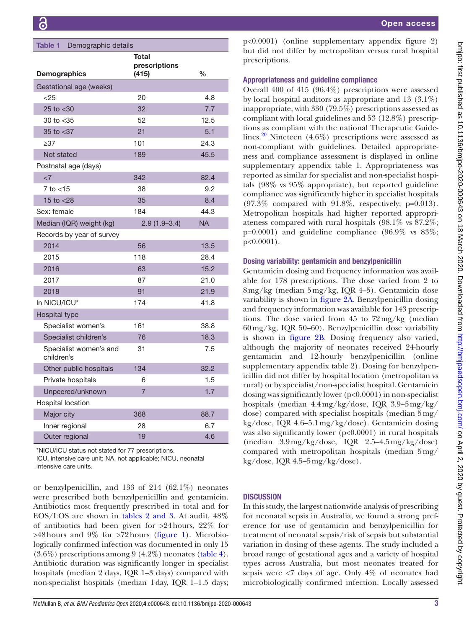<span id="page-2-0"></span>

| Table 1<br>Demographic details       |                                 |               |  |  |
|--------------------------------------|---------------------------------|---------------|--|--|
| <b>Demographics</b>                  | Total<br>prescriptions<br>(415) | $\frac{0}{0}$ |  |  |
| Gestational age (weeks)              |                                 |               |  |  |
| $<$ 25                               | 20                              | 4.8           |  |  |
| $25$ to $<$ 30                       | 32                              | 7.7           |  |  |
| 30 to $<$ 35                         | 52                              | 12.5          |  |  |
| 35 to $<$ 37                         | 21                              | 5.1           |  |  |
| ≥37                                  | 101                             | 24.3          |  |  |
| Not stated                           | 189                             | 45.5          |  |  |
| Postnatal age (days)                 |                                 |               |  |  |
| $<$ 7                                | 342                             | 82.4          |  |  |
| $7$ to $<$ 15                        | 38                              | 9.2           |  |  |
| 15 to $<$ 28                         | 35                              | 8.4           |  |  |
| Sex: female                          | 184                             | 44.3          |  |  |
| Median (IQR) weight (kg)             | $2.9(1.9 - 3.4)$                | <b>NA</b>     |  |  |
| Records by year of survey            |                                 |               |  |  |
| 2014                                 | 56                              | 13.5          |  |  |
| 2015                                 | 118                             | 28.4          |  |  |
| 2016                                 | 63                              | 15.2          |  |  |
| 2017                                 | 87                              | 21.0          |  |  |
| 2018                                 | 91                              | 21.9          |  |  |
| In NICU/ICU*                         | 174                             | 41.8          |  |  |
| Hospital type                        |                                 |               |  |  |
| Specialist women's                   | 161                             | 38.8          |  |  |
| Specialist children's                | 76                              | 18.3          |  |  |
| Specialist women's and<br>children's | 31                              | 7.5           |  |  |
| Other public hospitals               | 134                             | 32.2          |  |  |
| Private hospitals                    | 6                               | 1.5           |  |  |
| Unpeered/unknown                     | $\overline{7}$                  | 1.7           |  |  |
| Hospital location                    |                                 |               |  |  |
| Major city                           | 368                             | 88.7          |  |  |
| Inner regional                       | 28                              | 6.7           |  |  |
| Outer regional                       | 19                              | 4.6           |  |  |

\*NICU/ICU status not stated for 77 prescriptions.

ICU, intensive care unit; NA, not applicable; NICU, neonatal intensive care units.

or benzylpenicillin, and 133 of 214 (62.1%) neonates were prescribed both benzylpenicillin and gentamicin. Antibiotics most frequently prescribed in total and for EOS/LOS are shown in tables [2 and 3.](#page-3-0) At audit, 48% of antibiotics had been given for >24hours, 22% for >48hours and 9% for >72hours [\(figure](#page-3-1) 1). Microbiologically confirmed infection was documented in only 15 (3.6%) prescriptions among 9 (4.2%) neonates ([table](#page-4-0) 4). Antibiotic duration was significantly longer in specialist hospitals (median 2 days, IQR 1–3 days) compared with non-specialist hospitals (median 1day, IQR 1–1.5 days;

p<0.0001) ([online supplementary appendix figure 2\)](https://dx.doi.org/10.1136/bmjpo-2020-000643) but did not differ by metropolitan versus rural hospital prescriptions.

# Appropriateness and guideline compliance

Overall 400 of 415 (96.4%) prescriptions were assessed by local hospital auditors as appropriate and 13 (3.1%) inappropriate, with 330 (79.5%) prescriptions assessed as compliant with local guidelines and 53 (12.8%) prescriptions as compliant with the national Therapeutic Guidelines.<sup>20</sup> Nineteen  $(4.6\%)$  prescriptions were assessed as non-compliant with guidelines. Detailed appropriateness and compliance assessment is displayed in [online](https://dx.doi.org/10.1136/bmjpo-2020-000643) [supplementary appendix table 1](https://dx.doi.org/10.1136/bmjpo-2020-000643). Appropriateness was reported as similar for specialist and non-specialist hospitals (98% vs 95% appropriate), but reported guideline compliance was significantly higher in specialist hospitals (97.3% compared with 91.8%, respectively; p=0.013). Metropolitan hospitals had higher reported appropriateness compared with rural hospitals (98.1% vs 87.2%;  $p=0.0001$ ) and guideline compliance (96.9% vs 83%;  $p < 0.0001$ .

# Dosing variability: gentamicin and benzylpenicillin

Gentamicin dosing and frequency information was available for 178 prescriptions. The dose varied from 2 to 8mg/kg (median 5mg/kg, IQR 4–5). Gentamicin dose variability is shown in [figure](#page-4-1) 2A. Benzylpenicillin dosing and frequency information was available for 143 prescriptions. The dose varied from 45 to 72mg/kg (median 60mg/kg, IQR 50–60). Benzylpenicillin dose variability is shown in [figure](#page-4-1) 2B. Dosing frequency also varied, although the majority of neonates received 24-hourly gentamicin and 12-hourly benzylpenicillin [\(online](https://dx.doi.org/10.1136/bmjpo-2020-000643) [supplementary appendix table 2\)](https://dx.doi.org/10.1136/bmjpo-2020-000643). Dosing for benzylpenicillin did not differ by hospital location (metropolitan vs rural) or by specialist/non-specialist hospital. Gentamicin dosing was significantly lower (p<0.0001) in non-specialist hospitals (median 4.4mg/kg/dose, IQR 3.9–5mg/kg/ dose) compared with specialist hospitals (median 5mg/ kg/dose, IQR 4.6–5.1mg/kg/dose). Gentamicin dosing was also significantly lower (p<0.0001) in rural hospitals (median 3.9mg/kg/dose, IQR 2.5–4.5mg/kg/dose) compared with metropolitan hospitals (median 5mg/  $kg/dose$ , IQR 4.5–5 mg/kg/dose).

# **DISCUSSION**

In this study, the largest nationwide analysis of prescribing for neonatal sepsis in Australia, we found a strong preference for use of gentamicin and benzylpenicillin for treatment of neonatal sepsis/risk of sepsis but substantial variation in dosing of these agents. The study included a broad range of gestational ages and a variety of hospital types across Australia, but most neonates treated for sepsis were  $\langle 7 \rangle$  days of age. Only 4% of neonates had microbiologically confirmed infection. Locally assessed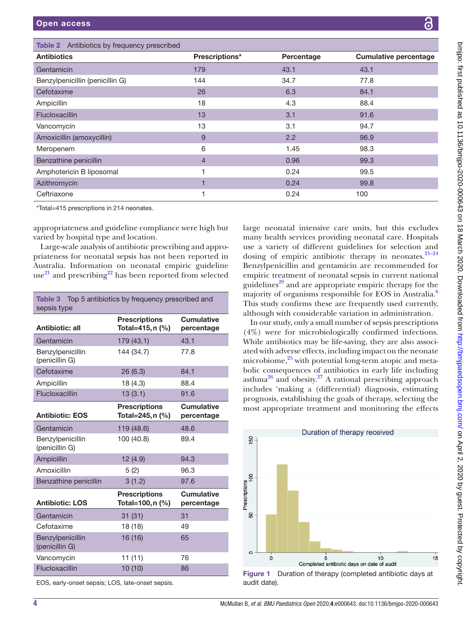<span id="page-3-0"></span>

| <b>Table 2</b> Antibiotics by frequency prescribed |                |            |                              |
|----------------------------------------------------|----------------|------------|------------------------------|
| <b>Antibiotics</b>                                 | Prescriptions* | Percentage | <b>Cumulative percentage</b> |
| Gentamicin                                         | 179            | 43.1       | 43.1                         |
| Benzylpenicillin (penicillin G)                    | 144            | 34.7       | 77.8                         |
| Cefotaxime                                         | 26             | 6.3        | 84.1                         |
| Ampicillin                                         | 18             | 4.3        | 88.4                         |
| <b>Flucloxacillin</b>                              | 13             | 3.1        | 91.6                         |
| Vancomycin                                         | 13             | 3.1        | 94.7                         |
| Amoxicillin (amoxycillin)                          | 9              | 2.2        | 96.9                         |
| Meropenem                                          | 6              | 1.45       | 98.3                         |
| Benzathine penicillin                              | 4              | 0.96       | 99.3                         |
| Amphotericin B liposomal                           |                | 0.24       | 99.5                         |
| Azithromycin                                       |                | 0.24       | 99.8                         |
| Ceftriaxone                                        |                | 0.24       | 100                          |

\*Total=415 prescriptions in 214 neonates.

appropriateness and guideline compliance were high but varied by hospital type and location.

Large-scale analysis of antibiotic prescribing and appropriateness for neonatal sepsis has not been reported in Australia. Information on neonatal empiric guideline use<sup>21</sup> and prescribing<sup>22</sup> has been reported from selected

| <b>Table 3</b> Top 5 antibiotics by frequency prescribed and<br>sepsis type |                                          |                                 |  |  |
|-----------------------------------------------------------------------------|------------------------------------------|---------------------------------|--|--|
| Antibiotic: all                                                             | <b>Prescriptions</b><br>Total=415, n (%) | <b>Cumulative</b><br>percentage |  |  |
| Gentamicin                                                                  | 179 (43.1)                               | 43.1                            |  |  |
| Benzylpenicillin<br>(penicillin G)                                          | 144 (34.7)                               | 77.8                            |  |  |
| Cefotaxime                                                                  | 26 (6.3)                                 | 84.1                            |  |  |
| Ampicillin                                                                  | 18 (4.3)                                 | 88.4                            |  |  |
| Flucloxacillin                                                              | 13(3.1)                                  | 91.6                            |  |  |
| <b>Antibiotic: EOS</b>                                                      | <b>Prescriptions</b><br>Total=245, n (%) | <b>Cumulative</b><br>percentage |  |  |
| Gentamicin                                                                  | 119 (48.6)                               | 48.6                            |  |  |
| Benzylpenicillin<br>(penicillin G)                                          | 100 (40.8)                               | 89.4                            |  |  |
| Ampicillin                                                                  | 12 (4.9)                                 | 94.3                            |  |  |
| Amoxicillin                                                                 | 5(2)                                     | 96.3                            |  |  |
| Benzathine penicillin                                                       | 3(1.2)                                   | 97.6                            |  |  |
| <b>Antibiotic: LOS</b>                                                      | <b>Prescriptions</b><br>Total=100, n (%) | <b>Cumulative</b><br>percentage |  |  |
| Gentamicin                                                                  | 31(31)                                   | 31                              |  |  |
| Cefotaxime                                                                  | 18 (18)                                  | 49                              |  |  |
| Benzylpenicillin<br>(penicillin G)                                          | 16 (16)                                  | 65                              |  |  |
| Vancomycin                                                                  | 11 (11)                                  | 76                              |  |  |
| Flucloxacillin                                                              | 10(10)                                   | 86                              |  |  |

EOS, early-onset sepsis; LOS, late-onset sepsis.

large neonatal intensive care units, but this excludes many health services providing neonatal care. Hospitals use a variety of different guidelines for selection and dosing of empiric antibiotic therapy in neonates. $21-24$ Benzylpenicillin and gentamicin are recommended for empiric treatment of neonatal sepsis in current national guidelines<sup>20</sup> and are appropriate empiric therapy for the majority of organisms responsible for EOS in Australia.[6](#page-6-4) This study confirms these are frequently used currently, although with considerable variation in administration.

In our study, only a small number of sepsis prescriptions (4%) were for microbiologically confirmed infections. While antibiotics may be life-saving, they are also associated with adverse effects, including impact on the neonate microbiome, $25$  with potential long-term atopic and metabolic consequences of antibiotics in early life including asthma<sup>26</sup> and obesity.<sup>[27](#page-6-19)</sup> A rational prescribing approach includes 'making a (differential) diagnosis, estimating prognosis, establishing the goals of therapy, selecting the most appropriate treatment and monitoring the effects



<span id="page-3-1"></span>Figure 1 Duration of therapy (completed antibiotic days at audit date).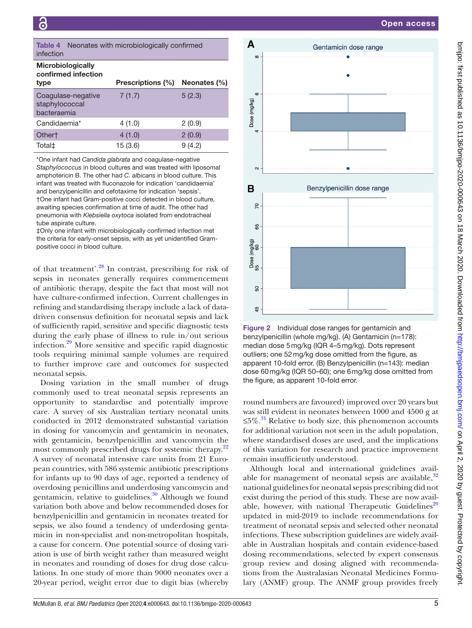infection

**Microbiologically** confirmed infection

Coagulase-negative staphylococcal bacteraemia

<span id="page-4-0"></span>Table 4 Neonates with microbiologically confirmed type **Prescriptions (%)** Neonates (%)  $\epsilon$  $7(1.7)$   $5(2.3)$ Dose (mg/kg) Candidaemia<sup>\*</sup> 4 (1.0) 2 (0.9) Other† 4 (1.0) 2 (0.9) Total‡ 15 (3.6) 9 (4.2) \*One infant had *Candida glabrata* and coagulase-negative *Staphylococcus* in blood cultures and was treated with liposomal  $\sim$ 

amphotericin B. The other had *C. albicans* in blood culture. This infant was treated with fluconazole for indication 'candidaemia' and benzylpenicillin and cefotaxime for indication 'sepsis'. †One infant had Gram-positive cocci detected in blood culture, awaiting species confirmation at time of audit. The other had pneumonia with *Klebsiella oxytoca* isolated from endotracheal tube aspirate culture.

‡Only one infant with microbiologically confirmed infection met the criteria for early-onset sepsis, with as yet unidentified Grampositive cocci in blood culture.

of that treatment'[.28](#page-6-20) In contrast, prescribing for risk of sepsis in neonates generally requires commencement of antibiotic therapy, despite the fact that most will not have culture-confirmed infection. Current challenges in refining and standardising therapy include a lack of datadriven consensus definition for neonatal sepsis and lack of sufficiently rapid, sensitive and specific diagnostic tests during the early phase of illness to rule in/out serious infection.<sup>29</sup> More sensitive and specific rapid diagnostic tools requiring minimal sample volumes are required to further improve care and outcomes for suspected neonatal sepsis.

Dosing variation in the small number of drugs commonly used to treat neonatal sepsis represents an opportunity to standardise and potentially improve care. A survey of six Australian tertiary neonatal units conducted in 2012 demonstrated substantial variation in dosing for vancomycin and gentamicin in neonates, with gentamicin, benzylpenicillin and vancomycin the most commonly prescribed drugs for systemic therapy.<sup>22</sup> A survey of neonatal intensive care units from 21 European countries, with 586 systemic antibiotic prescriptions for infants up to 90 days of age, reported a tendency of overdosing penicillins and underdosing vancomycin and gentamicin, relative to guidelines. $30$  Although we found variation both above and below recommended doses for benzylpenicillin and gentamicin in neonates treated for sepsis, we also found a tendency of underdosing gentamicin in non-specialist and non-metropolitan hospitals, a cause for concern. One potential source of dosing variation is use of birth weight rather than measured weight in neonates and rounding of doses for drug dose calculations. In one study of more than 9000 neonates over a 20-year period, weight error due to digit bias (whereby



<span id="page-4-1"></span>Figure 2 Individual dose ranges for gentamicin and benzylpenicillin (whole mg/kg). (A) Gentamicin (n=178): median dose 5mg/kg (IQR 4–5mg/kg). Dots represent outliers; one 52mg/kg dose omitted from the figure, as apparent 10-fold error. (B) Benzylpenicillin (n=143): median dose 60mg/kg (IQR 50–60); one 6mg/kg dose omitted from the figure, as apparent 10-fold error.

round numbers are favoured) improved over 20 years but was still evident in neonates between 1000 and 4500 g at  $\leq 5\%$ .<sup>31</sup> Relative to body size, this phenomenon accounts for additional variation not seen in the adult population, where standardised doses are used, and the implications of this variation for research and practice improvement remain insufficiently understood.

Although local and international guidelines available for management of neonatal sepsis are available, $32$ national guidelines for neonatal sepsis prescribing did not exist during the period of this study. These are now available, however, with national Therapeutic Guidelines<sup>20</sup> updated in mid-2019 to include recommendations for treatment of neonatal sepsis and selected other neonatal infections. These subscription guidelines are widely available in Australian hospitals and contain evidence-based dosing recommendations, selected by expert consensus group review and dosing aligned with recommendations from the Australasian Neonatal Medicines Formulary (ANMF) group. The ANMF group provides freely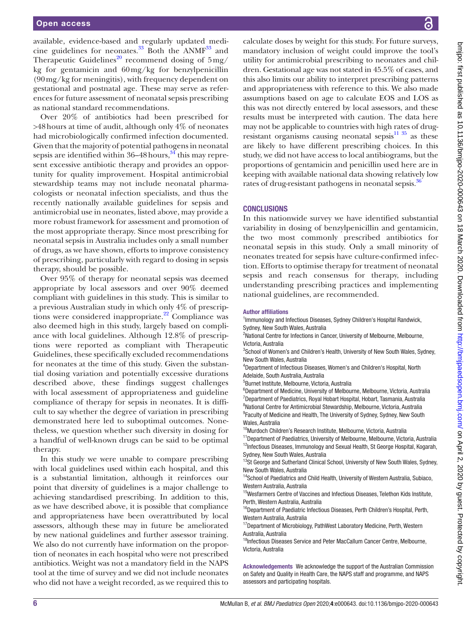available, evidence-based and regularly updated medicine guidelines for neonates. $33$  Both the ANMF<sup>33</sup> and Therapeutic Guidelines<sup>20</sup> recommend dosing of  $5 \text{ mg}/$ kg for gentamicin and 60mg/kg for benzylpenicillin (90mg/kg for meningitis), with frequency dependent on gestational and postnatal age. These may serve as references for future assessment of neonatal sepsis prescribing as national standard recommendations.

Over 20% of antibiotics had been prescribed for >48hours at time of audit, although only 4% of neonates had microbiologically confirmed infection documented. Given that the majority of potential pathogens in neonatal sepsis are identified within  $36-48$  hours,<sup>[34](#page-6-26)</sup> this may represent excessive antibiotic therapy and provides an opportunity for quality improvement. Hospital antimicrobial stewardship teams may not include neonatal pharmacologists or neonatal infection specialists, and thus the recently nationally available guidelines for sepsis and antimicrobial use in neonates, listed above, may provide a more robust framework for assessment and promotion of the most appropriate therapy. Since most prescribing for neonatal sepsis in Australia includes only a small number of drugs, as we have shown, efforts to improve consistency of prescribing, particularly with regard to dosing in sepsis therapy, should be possible.

Over 95% of therapy for neonatal sepsis was deemed appropriate by local assessors and over 90% deemed compliant with guidelines in this study. This is similar to a previous Australian study in which only 4% of prescriptions were considered inappropriate. $2^2$  Compliance was also deemed high in this study, largely based on compliance with local guidelines. Although 12.8% of prescriptions were reported as compliant with Therapeutic Guidelines, these specifically excluded recommendations for neonates at the time of this study. Given the substantial dosing variation and potentially excessive durations described above, these findings suggest challenges with local assessment of appropriateness and guideline compliance of therapy for sepsis in neonates. It is difficult to say whether the degree of variation in prescribing demonstrated here led to suboptimal outcomes. Nonetheless, we question whether such diversity in dosing for a handful of well-known drugs can be said to be optimal therapy.

In this study we were unable to compare prescribing with local guidelines used within each hospital, and this is a substantial limitation, although it reinforces our point that diversity of guidelines is a major challenge to achieving standardised prescribing. In addition to this, as we have described above, it is possible that compliance and appropriateness have been overattributed by local assessors, although these may in future be ameliorated by new national guidelines and further assessor training. We also do not currently have information on the proportion of neonates in each hospital who were not prescribed antibiotics. Weight was not a mandatory field in the NAPS tool at the time of survey and we did not include neonates who did not have a weight recorded, as we required this to

calculate doses by weight for this study. For future surveys, mandatory inclusion of weight could improve the tool's utility for antimicrobial prescribing to neonates and children. Gestational age was not stated in 45.5% of cases, and this also limits our ability to interpret prescribing patterns and appropriateness with reference to this. We also made assumptions based on age to calculate EOS and LOS as this was not directly entered by local assessors, and these results must be interpreted with caution. The data here may not be applicable to countries with high rates of drugresistant organisms causing neonatal sepsis $1135$  as these are likely to have different prescribing choices. In this study, we did not have access to local antibiograms, but the proportions of gentamicin and penicillin used here are in keeping with available national data showing relatively low rates of drug-resistant pathogens in neonatal sepsis.<sup>36</sup>

# **CONCLUSIONS**

In this nationwide survey we have identified substantial variability in dosing of benzylpenicillin and gentamicin, the two most commonly prescribed antibiotics for neonatal sepsis in this study. Only a small minority of neonates treated for sepsis have culture-confirmed infection. Efforts to optimise therapy for treatment of neonatal sepsis and reach consensus for therapy, including understanding prescribing practices and implementing national guidelines, are recommended.

#### Author affiliations

<sup>1</sup> Immunology and Infectious Diseases, Sydney Children's Hospital Randwick, Sydney, New South Wales, Australia

<sup>2</sup>National Centre for Infections in Cancer, University of Melbourne, Melbourne, Victoria, Australia

<sup>3</sup>School of Women's and Children's Health, University of New South Wales, Sydney, New South Wales, Australia

4 Department of Infectious Diseases, Women's and Children's Hospital, North Adelaide, South Australia, Australia

5 Burnet Institute, Melbourne, Victoria, Australia

6 Department of Medicine, University of Melbourne, Melbourne, Victoria, Australia <sup>7</sup>Department of Paediatrics, Royal Hobart Hospital, Hobart, Tasmania, Australia 8 National Centre for Antimicrobial Stewardship, Melbourne, Victoria, Australia <sup>9</sup> Faculty of Medicine and Health, The University of Sydney, Sydney, New South Wales, Australia

 $^{10}$ Murdoch Children's Research Institute, Melbourne, Victoria, Australia

<sup>11</sup>Department of Paediatrics, University of Melbourne, Melbourne, Victoria, Australia <sup>12</sup>Infectious Diseases, Immunology and Sexual Health, St George Hospital, Kogarah, Sydney, New South Wales, Australia

<sup>13</sup>St George and Sutherland Clinical School, University of New South Wales, Sydney, New South Wales, Australia

<sup>14</sup>School of Paediatrics and Child Health, University of Western Australia, Subiaco, Western Australia, Australia

<sup>15</sup>Wesfarmers Centre of Vaccines and Infectious Diseases, Telethon Kids Institute, Perth, Western Australia, Australia

<sup>16</sup>Department of Paediatric Infectious Diseases, Perth Children's Hospital, Perth, Western Australia, Australia

<sup>17</sup>Department of Microbiology, PathWest Laboratory Medicine, Perth, Western Australia, Australia

<sup>18</sup>Infectious Diseases Service and Peter MacCallum Cancer Centre, Melbourne, Victoria, Australia

Acknowledgements We acknowledge the support of the Australian Commission on Safety and Quality in Health Care, the NAPS staff and programme, and NAPS assessors and participating hospitals.